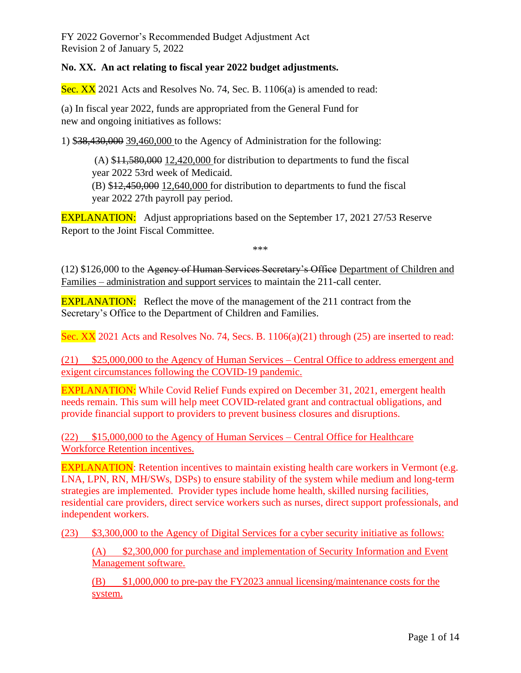### **No. XX. An act relating to fiscal year 2022 budget adjustments.**

Sec. XX 2021 Acts and Resolves No. 74, Sec. B. 1106(a) is amended to read:

(a) In fiscal year 2022, funds are appropriated from the General Fund for new and ongoing initiatives as follows:

1) \$38,430,000 39,460,000 to the Agency of Administration for the following:

 $(A)$  \$11,580,000 12,420,000 for distribution to departments to fund the fiscal year 2022 53rd week of Medicaid. (B) \$12,450,000 12,640,000 for distribution to departments to fund the fiscal

year 2022 27th payroll pay period.

EXPLANATION: Adjust appropriations based on the September 17, 2021 27/53 Reserve Report to the Joint Fiscal Committee.

\*\*\*

(12) \$126,000 to the Agency of Human Services Secretary's Office Department of Children and Families – administration and support services to maintain the 211-call center.

**EXPLANATION:** Reflect the move of the management of the 211 contract from the Secretary's Office to the Department of Children and Families.

Sec. XX 2021 Acts and Resolves No. 74, Secs. B. 1106(a)(21) through (25) are inserted to read:

(21) \$25,000,000 to the Agency of Human Services – Central Office to address emergent and exigent circumstances following the COVID-19 pandemic.

EXPLANATION: While Covid Relief Funds expired on December 31, 2021, emergent health needs remain. This sum will help meet COVID-related grant and contractual obligations, and provide financial support to providers to prevent business closures and disruptions.

(22) \$15,000,000 to the Agency of Human Services – Central Office for Healthcare Workforce Retention incentives.

EXPLANATION: Retention incentives to maintain existing health care workers in Vermont (e.g. LNA, LPN, RN, MH/SWs, DSPs) to ensure stability of the system while medium and long-term strategies are implemented. Provider types include home health, skilled nursing facilities, residential care providers, direct service workers such as nurses, direct support professionals, and independent workers.

(23) \$3,300,000 to the Agency of Digital Services for a cyber security initiative as follows:

(A) \$2,300,000 for purchase and implementation of Security Information and Event Management software.

(B) \$1,000,000 to pre-pay the FY2023 annual licensing/maintenance costs for the system.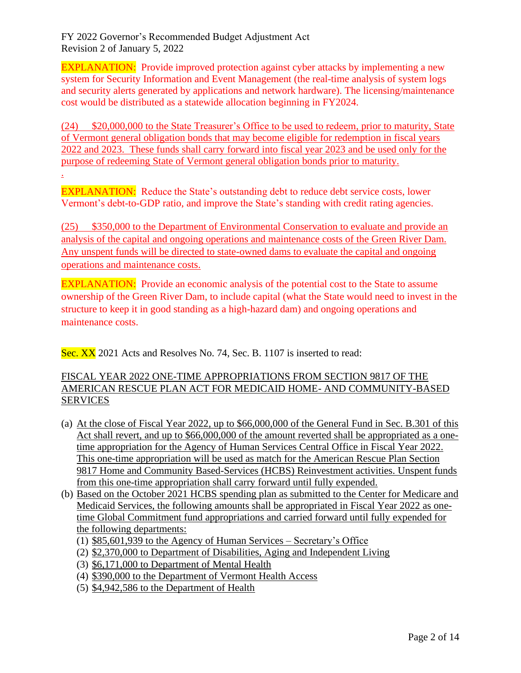EXPLANATION: Provide improved protection against cyber attacks by implementing a new system for Security Information and Event Management (the real-time analysis of system logs and security alerts generated by applications and network hardware). The licensing/maintenance cost would be distributed as a statewide allocation beginning in FY2024.

(24) \$20,000,000 to the State Treasurer's Office to be used to redeem, prior to maturity, State of Vermont general obligation bonds that may become eligible for redemption in fiscal years 2022 and 2023. These funds shall carry forward into fiscal year 2023 and be used only for the purpose of redeeming State of Vermont general obligation bonds prior to maturity.

.

EXPLANATION: Reduce the State's outstanding debt to reduce debt service costs, lower Vermont's debt-to-GDP ratio, and improve the State's standing with credit rating agencies.

(25) \$350,000 to the Department of Environmental Conservation to evaluate and provide an analysis of the capital and ongoing operations and maintenance costs of the Green River Dam. Any unspent funds will be directed to state-owned dams to evaluate the capital and ongoing operations and maintenance costs.

EXPLANATION: Provide an economic analysis of the potential cost to the State to assume ownership of the Green River Dam, to include capital (what the State would need to invest in the structure to keep it in good standing as a high-hazard dam) and ongoing operations and maintenance costs.

Sec. XX 2021 Acts and Resolves No. 74, Sec. B. 1107 is inserted to read:

## FISCAL YEAR 2022 ONE-TIME APPROPRIATIONS FROM SECTION 9817 OF THE AMERICAN RESCUE PLAN ACT FOR MEDICAID HOME- AND COMMUNITY-BASED SERVICES

- (a) At the close of Fiscal Year 2022, up to \$66,000,000 of the General Fund in Sec. B.301 of this Act shall revert, and up to \$66,000,000 of the amount reverted shall be appropriated as a onetime appropriation for the Agency of Human Services Central Office in Fiscal Year 2022. This one-time appropriation will be used as match for the American Rescue Plan Section 9817 Home and Community Based-Services (HCBS) Reinvestment activities. Unspent funds from this one-time appropriation shall carry forward until fully expended.
- (b) Based on the October 2021 HCBS spending plan as submitted to the Center for Medicare and Medicaid Services, the following amounts shall be appropriated in Fiscal Year 2022 as onetime Global Commitment fund appropriations and carried forward until fully expended for the following departments:
	- (1) \$85,601,939 to the Agency of Human Services Secretary's Office
	- (2) \$2,370,000 to Department of Disabilities, Aging and Independent Living
	- (3) \$6,171,000 to Department of Mental Health
	- (4) \$390,000 to the Department of Vermont Health Access
	- (5) \$4,942,586 to the Department of Health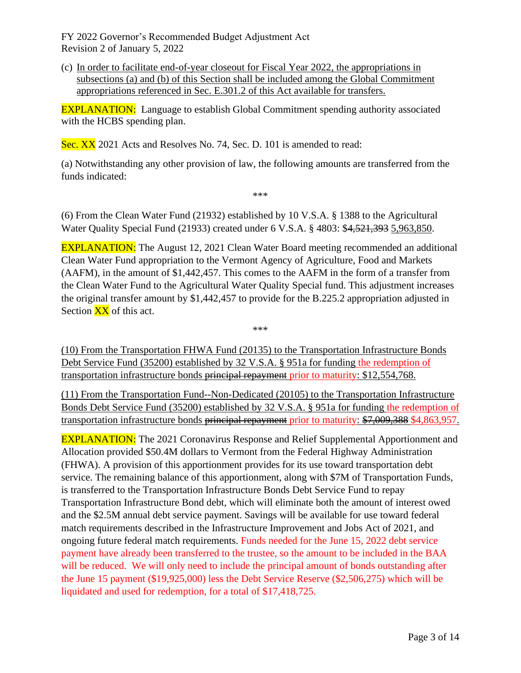(c) In order to facilitate end-of-year closeout for Fiscal Year 2022, the appropriations in subsections (a) and (b) of this Section shall be included among the Global Commitment appropriations referenced in Sec. E.301.2 of this Act available for transfers.

EXPLANATION: Language to establish Global Commitment spending authority associated with the HCBS spending plan.

Sec. XX 2021 Acts and Resolves No. 74, Sec. D. 101 is amended to read:

(a) Notwithstanding any other provision of law, the following amounts are transferred from the funds indicated:

\*\*\*

(6) From the Clean Water Fund (21932) established by 10 V.S.A. § 1388 to the Agricultural Water Quality Special Fund (21933) created under 6 V.S.A. § 4803: \$4,521,393 5,963,850.

**EXPLANATION:** The August 12, 2021 Clean Water Board meeting recommended an additional Clean Water Fund appropriation to the Vermont Agency of Agriculture, Food and Markets (AAFM), in the amount of \$1,442,457. This comes to the AAFM in the form of a transfer from the Clean Water Fund to the Agricultural Water Quality Special fund. This adjustment increases the original transfer amount by \$1,442,457 to provide for the B.225.2 appropriation adjusted in Section  $\overline{XX}$  of this act.

\*\*\*

(10) From the Transportation FHWA Fund (20135) to the Transportation Infrastructure Bonds Debt Service Fund (35200) established by 32 V.S.A. § 951a for funding the redemption of transportation infrastructure bonds principal repayment prior to maturity: \$12,554,768.

(11) From the Transportation Fund--Non-Dedicated (20105) to the Transportation Infrastructure Bonds Debt Service Fund (35200) established by 32 V.S.A. § 951a for funding the redemption of transportation infrastructure bonds principal repayment prior to maturity: \$7,009,388 \$4,863,957.

EXPLANATION: The 2021 Coronavirus Response and Relief Supplemental Apportionment and Allocation provided \$50.4M dollars to Vermont from the Federal Highway Administration (FHWA). A provision of this apportionment provides for its use toward transportation debt service. The remaining balance of this apportionment, along with \$7M of Transportation Funds, is transferred to the Transportation Infrastructure Bonds Debt Service Fund to repay Transportation Infrastructure Bond debt, which will eliminate both the amount of interest owed and the \$2.5M annual debt service payment. Savings will be available for use toward federal match requirements described in the Infrastructure Improvement and Jobs Act of 2021, and ongoing future federal match requirements. Funds needed for the June 15, 2022 debt service payment have already been transferred to the trustee, so the amount to be included in the BAA will be reduced. We will only need to include the principal amount of bonds outstanding after the June 15 payment (\$19,925,000) less the Debt Service Reserve (\$2,506,275) which will be liquidated and used for redemption, for a total of \$17,418,725.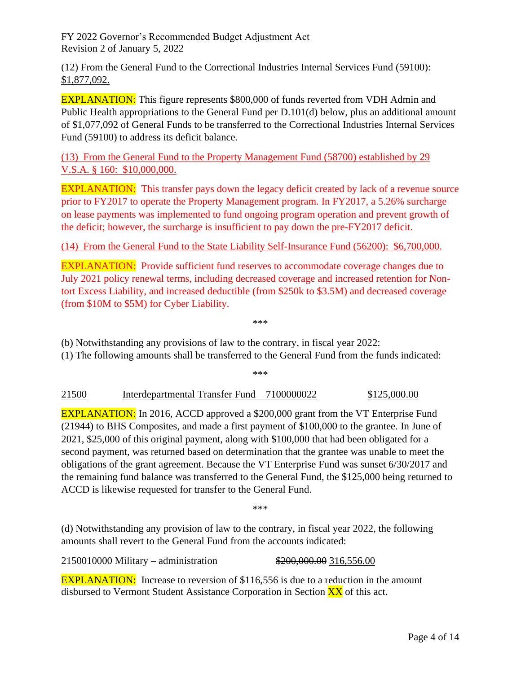(12) From the General Fund to the Correctional Industries Internal Services Fund (59100): \$1,877,092.

**EXPLANATION:** This figure represents \$800,000 of funds reverted from VDH Admin and Public Health appropriations to the General Fund per D.101(d) below, plus an additional amount of \$1,077,092 of General Funds to be transferred to the Correctional Industries Internal Services Fund (59100) to address its deficit balance.

(13) From the General Fund to the Property Management Fund (58700) established by 29 V.S.A. § 160: \$10,000,000.

EXPLANATION: This transfer pays down the legacy deficit created by lack of a revenue source prior to FY2017 to operate the Property Management program. In FY2017, a 5.26% surcharge on lease payments was implemented to fund ongoing program operation and prevent growth of the deficit; however, the surcharge is insufficient to pay down the pre-FY2017 deficit.

(14) From the General Fund to the State Liability Self-Insurance Fund (56200): \$6,700,000.

EXPLANATION: Provide sufficient fund reserves to accommodate coverage changes due to July 2021 policy renewal terms, including decreased coverage and increased retention for Nontort Excess Liability, and increased deductible (from \$250k to \$3.5M) and decreased coverage (from \$10M to \$5M) for Cyber Liability.

\*\*\*

(b) Notwithstanding any provisions of law to the contrary, in fiscal year 2022:

(1) The following amounts shall be transferred to the General Fund from the funds indicated:

\*\*\*

### 21500 Interdepartmental Transfer Fund – 7100000022 \$125,000.00

EXPLANATION: In 2016, ACCD approved a \$200,000 grant from the VT Enterprise Fund (21944) to BHS Composites, and made a first payment of \$100,000 to the grantee. In June of 2021, \$25,000 of this original payment, along with \$100,000 that had been obligated for a second payment, was returned based on determination that the grantee was unable to meet the obligations of the grant agreement. Because the VT Enterprise Fund was sunset 6/30/2017 and the remaining fund balance was transferred to the General Fund, the \$125,000 being returned to ACCD is likewise requested for transfer to the General Fund.

\*\*\*

(d) Notwithstanding any provision of law to the contrary, in fiscal year 2022, the following amounts shall revert to the General Fund from the accounts indicated:

2150010000 Military – administration \$200,000.00 316,556.00

EXPLANATION: Increase to reversion of \$116,556 is due to a reduction in the amount disbursed to Vermont Student Assistance Corporation in Section XX of this act.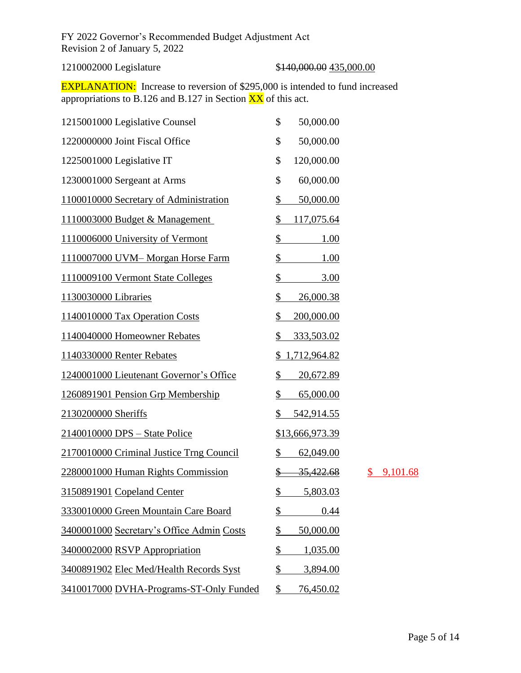# 1210002000 Legislature \$140,000.00 \$140,000.00 \$15,000.00

**EXPLANATION:** Increase to reversion of \$295,000 is intended to fund increased appropriations to B.126 and B.127 in Section  $\overline{XX}$  of this act.

| 1215001000 Legislative Counsel            | \$<br>50,000.00           |                |
|-------------------------------------------|---------------------------|----------------|
| 1220000000 Joint Fiscal Office            | \$<br>50,000.00           |                |
| 1225001000 Legislative IT                 | \$<br>120,000.00          |                |
| 1230001000 Sergeant at Arms               | \$<br>60,000.00           |                |
| 1100010000 Secretary of Administration    | \$<br>50,000.00           |                |
| 1110003000 Budget & Management            | \$<br><u>117,075.64</u>   |                |
| 1110006000 University of Vermont          | \$<br>1.00                |                |
| 1110007000 UVM-Morgan Horse Farm          | \$<br>1.00                |                |
| 1110009100 Vermont State Colleges         | \$<br>3.00                |                |
| 1130030000 Libraries                      | 26,000.38<br>\$           |                |
| 1140010000 Tax Operation Costs            | \$<br>200,000.00          |                |
| 1140040000 Homeowner Rebates              | \$<br>333,503.02          |                |
| 1140330000 Renter Rebates                 | <u>1,712,964.82</u><br>\$ |                |
| 1240001000 Lieutenant Governor's Office   | \$<br>20,672.89           |                |
| 1260891901 Pension Grp Membership         | \$<br>65,000.00           |                |
| 2130200000 Sheriffs                       | \$<br>542,914.55          |                |
| 2140010000 DPS - State Police             | \$13,666,973.39           |                |
| 2170010000 Criminal Justice Trng Council  | \$<br>62,049.00           |                |
| 2280001000 Human Rights Commission        | <u>35,422.68</u>          | 9,101.68<br>\$ |
| 3150891901 Copeland Center                | \$<br>5,803.03            |                |
| 3330010000 Green Mountain Care Board      | \$<br>0.44                |                |
| 3400001000 Secretary's Office Admin Costs | \$<br>50,000.00           |                |
| 3400002000 RSVP Appropriation             | \$<br>1,035.00            |                |
| 3400891902 Elec Med/Health Records Syst   | \$<br>3,894.00            |                |
| 3410017000 DVHA-Programs-ST-Only Funded   | \$<br>76,450.02           |                |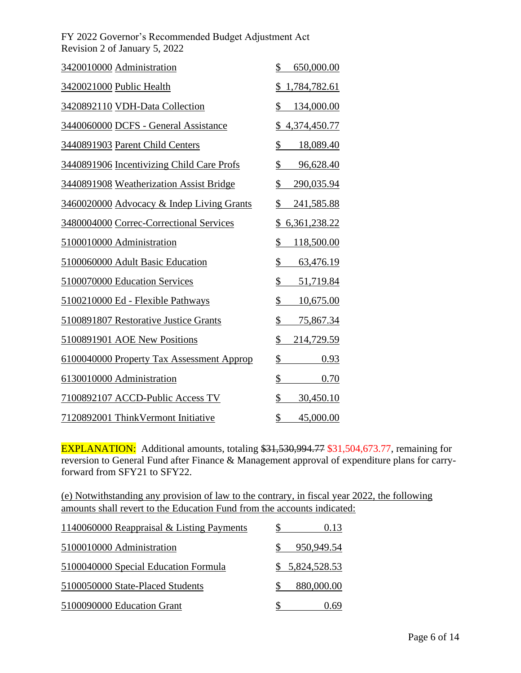| 3420010000 Administration                 | 650,000.00<br>\$                 |
|-------------------------------------------|----------------------------------|
| 3420021000 Public Health                  | 1,784,782.61<br>\$               |
| 3420892110 VDH-Data Collection            | \$<br>134,000.00                 |
| 3440060000 DCFS - General Assistance      | <u>\$4,374,450.77</u>            |
| 3440891903 Parent Child Centers           | \$<br>18,089.40                  |
| 3440891906 Incentivizing Child Care Profs | \$<br>96,628.40                  |
| 3440891908 Weatherization Assist Bridge   | \$<br>290,035.94                 |
| 3460020000 Advocacy & Indep Living Grants | \$<br>241,585.88                 |
| 3480004000 Correc-Correctional Services   | \$<br>6,361,238.22               |
| 5100010000 Administration                 | \$<br>118,500.00                 |
| 5100060000 Adult Basic Education          | \$<br>63,476.19                  |
| 5100070000 Education Services             | \$<br>51,719.84                  |
| 5100210000 Ed - Flexible Pathways         | \$<br>10,675.00                  |
| 5100891807 Restorative Justice Grants     | \$<br><u>75,867.34</u>           |
| 5100891901 AOE New Positions              | \$<br>214,729.59                 |
| 6100040000 Property Tax Assessment Approp | \$<br>0.93                       |
| 6130010000 Administration                 | $\overline{\mathcal{L}}$<br>0.70 |
| 7100892107 ACCD-Public Access TV          | \$<br>30,450.10                  |
| 7120892001 ThinkVermont Initiative        | $\frac{1}{2}$<br>45,000.00       |

EXPLANATION: Additional amounts, totaling \$31,530,994.77 \$31,504,673.77, remaining for reversion to General Fund after Finance & Management approval of expenditure plans for carryforward from SFY21 to SFY22.

(e) Notwithstanding any provision of law to the contrary, in fiscal year 2022, the following amounts shall revert to the Education Fund from the accounts indicated:

| 1140060000 Reappraisal & Listing Payments | 0.13           |
|-------------------------------------------|----------------|
| 5100010000 Administration                 | 950,949.54     |
| 5100040000 Special Education Formula      | \$5,824,528.53 |
| 5100050000 State-Placed Students          | 880,000.00     |
| 5100090000 Education Grant                | 0.69           |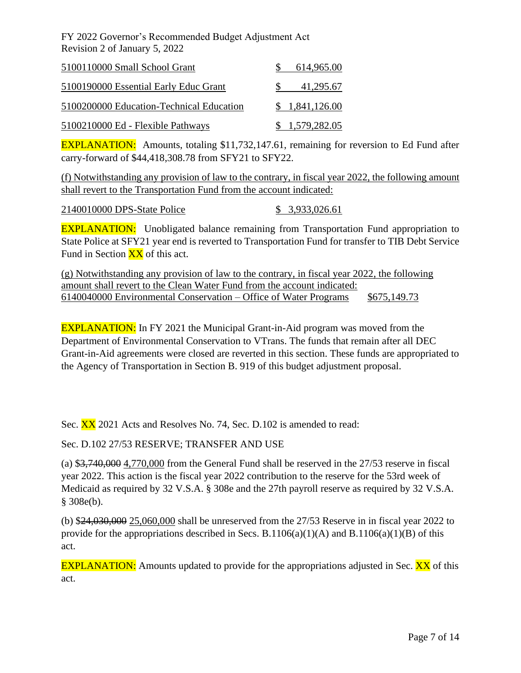| 5100110000 Small School Grant            | 614,965.00     |
|------------------------------------------|----------------|
| 5100190000 Essential Early Educ Grant    | 41,295.67      |
| 5100200000 Education-Technical Education | \$1,841,126.00 |
| 5100210000 Ed - Flexible Pathways        | \$1,579,282.05 |

EXPLANATION: Amounts, totaling \$11,732,147.61, remaining for reversion to Ed Fund after carry-forward of \$44,418,308.78 from SFY21 to SFY22.

(f) Notwithstanding any provision of law to the contrary, in fiscal year 2022, the following amount shall revert to the Transportation Fund from the account indicated:

2140010000 DPS-State Police \$ 3,933,026.61

**EXPLANATION:** Unobligated balance remaining from Transportation Fund appropriation to State Police at SFY21 year end is reverted to Transportation Fund for transfer to TIB Debt Service Fund in Section  $\overline{XX}$  of this act.

(g) Notwithstanding any provision of law to the contrary, in fiscal year 2022, the following amount shall revert to the Clean Water Fund from the account indicated: 6140040000 Environmental Conservation – Office of Water Programs \$675,149.73

EXPLANATION: In FY 2021 the Municipal Grant-in-Aid program was moved from the Department of Environmental Conservation to VTrans. The funds that remain after all DEC Grant-in-Aid agreements were closed are reverted in this section. These funds are appropriated to the Agency of Transportation in Section B. 919 of this budget adjustment proposal.

Sec. **XX** 2021 Acts and Resolves No. 74, Sec. D.102 is amended to read:

Sec. D.102 27/53 RESERVE; TRANSFER AND USE

(a) \$3,740,000 4,770,000 from the General Fund shall be reserved in the 27/53 reserve in fiscal year 2022. This action is the fiscal year 2022 contribution to the reserve for the 53rd week of Medicaid as required by 32 V.S.A. § 308e and the 27th payroll reserve as required by 32 V.S.A. § 308e(b).

(b) \$24,030,000 25,060,000 shall be unreserved from the 27/53 Reserve in in fiscal year 2022 to provide for the appropriations described in Secs. B.1106(a)(1)(A) and B.1106(a)(1)(B) of this act.

**EXPLANATION:** Amounts updated to provide for the appropriations adjusted in Sec. **XX** of this act.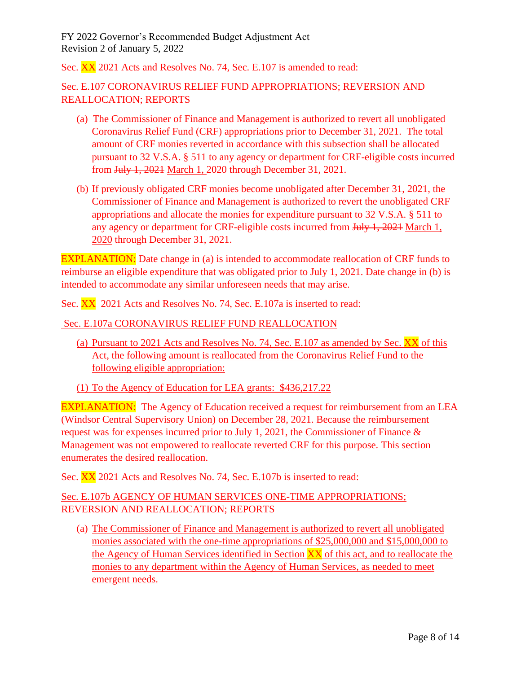Sec. XX 2021 Acts and Resolves No. 74, Sec. E.107 is amended to read:

## Sec. E.107 CORONAVIRUS RELIEF FUND APPROPRIATIONS; REVERSION AND REALLOCATION; REPORTS

- (a) The Commissioner of Finance and Management is authorized to revert all unobligated Coronavirus Relief Fund (CRF) appropriations prior to December 31, 2021. The total amount of CRF monies reverted in accordance with this subsection shall be allocated pursuant to 32 V.S.A. § 511 to any agency or department for CRF-eligible costs incurred from July 1, 2021 March 1, 2020 through December 31, 2021.
- (b) If previously obligated CRF monies become unobligated after December 31, 2021, the Commissioner of Finance and Management is authorized to revert the unobligated CRF appropriations and allocate the monies for expenditure pursuant to 32 V.S.A. § 511 to any agency or department for CRF-eligible costs incurred from July 1, 2021 March 1, 2020 through December 31, 2021.

EXPLANATION: Date change in (a) is intended to accommodate reallocation of CRF funds to reimburse an eligible expenditure that was obligated prior to July 1, 2021. Date change in (b) is intended to accommodate any similar unforeseen needs that may arise.

Sec. XX 2021 Acts and Resolves No. 74, Sec. E.107a is inserted to read:

#### Sec. E.107a CORONAVIRUS RELIEF FUND REALLOCATION

- (a) Pursuant to 2021 Acts and Resolves No. 74, Sec. E.107 as amended by Sec. XX of this Act, the following amount is reallocated from the Coronavirus Relief Fund to the following eligible appropriation:
- (1) To the Agency of Education for LEA grants: \$436,217.22

EXPLANATION: The Agency of Education received a request for reimbursement from an LEA (Windsor Central Supervisory Union) on December 28, 2021. Because the reimbursement request was for expenses incurred prior to July 1, 2021, the Commissioner of Finance & Management was not empowered to reallocate reverted CRF for this purpose. This section enumerates the desired reallocation.

Sec. XX 2021 Acts and Resolves No. 74, Sec. E.107b is inserted to read:

## Sec. E.107b AGENCY OF HUMAN SERVICES ONE-TIME APPROPRIATIONS; REVERSION AND REALLOCATION; REPORTS

(a) The Commissioner of Finance and Management is authorized to revert all unobligated monies associated with the one-time appropriations of \$25,000,000 and \$15,000,000 to the Agency of Human Services identified in Section XX of this act, and to reallocate the monies to any department within the Agency of Human Services, as needed to meet emergent needs.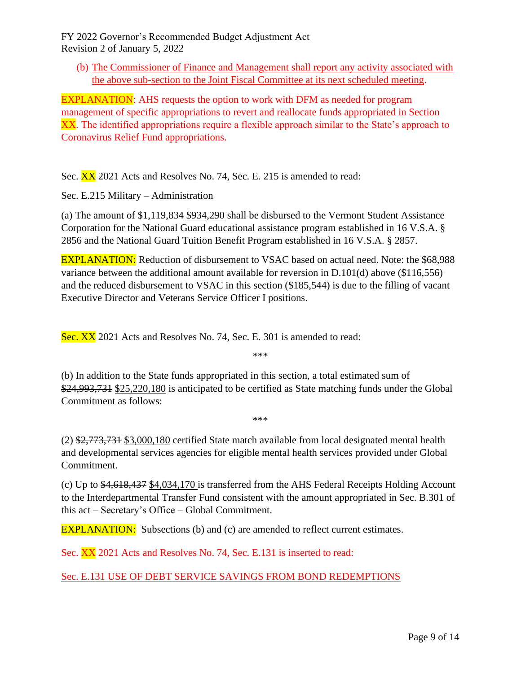(b) The Commissioner of Finance and Management shall report any activity associated with the above sub-section to the Joint Fiscal Committee at its next scheduled meeting.

EXPLANATION: AHS requests the option to work with DFM as needed for program management of specific appropriations to revert and reallocate funds appropriated in Section XX. The identified appropriations require a flexible approach similar to the State's approach to Coronavirus Relief Fund appropriations.

Sec. **XX** 2021 Acts and Resolves No. 74, Sec. E. 215 is amended to read:

Sec. E.215 Military – Administration

(a) The amount of \$1,119,834 \$934,290 shall be disbursed to the Vermont Student Assistance Corporation for the National Guard educational assistance program established in 16 V.S.A. § 2856 and the National Guard Tuition Benefit Program established in 16 V.S.A. § 2857.

EXPLANATION: Reduction of disbursement to VSAC based on actual need. Note: the \$68,988 variance between the additional amount available for reversion in D.101(d) above (\$116,556) and the reduced disbursement to VSAC in this section (\$185,544) is due to the filling of vacant Executive Director and Veterans Service Officer I positions.

Sec. XX 2021 Acts and Resolves No. 74, Sec. E. 301 is amended to read:

\*\*\*

(b) In addition to the State funds appropriated in this section, a total estimated sum of \$24,993,731 \$25,220,180 is anticipated to be certified as State matching funds under the Global Commitment as follows:

\*\*\*

(2) \$2,773,731 \$3,000,180 certified State match available from local designated mental health and developmental services agencies for eligible mental health services provided under Global Commitment.

(c) Up to \$4,618,437 \$4,034,170 is transferred from the AHS Federal Receipts Holding Account to the Interdepartmental Transfer Fund consistent with the amount appropriated in Sec. B.301 of this act – Secretary's Office – Global Commitment.

**EXPLANATION:** Subsections (b) and (c) are amended to reflect current estimates.

Sec. XX 2021 Acts and Resolves No. 74, Sec. E.131 is inserted to read:

Sec. E.131 USE OF DEBT SERVICE SAVINGS FROM BOND REDEMPTIONS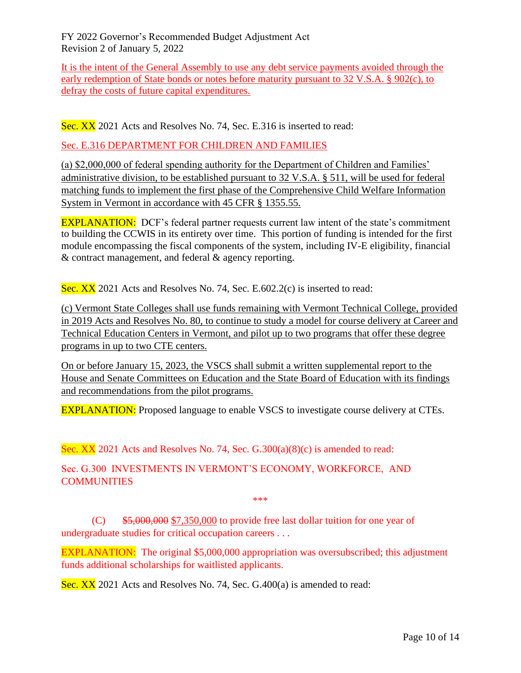It is the intent of the General Assembly to use any debt service payments avoided through the early redemption of State bonds or notes before maturity pursuant to 32 V.S.A. § 902(c), to defray the costs of future capital expenditures.

Sec. XX 2021 Acts and Resolves No. 74, Sec. E.316 is inserted to read:

Sec. E.316 DEPARTMENT FOR CHILDREN AND FAMILIES

(a) \$2,000,000 of federal spending authority for the Department of Children and Families' administrative division, to be established pursuant to 32 V.S.A. § 511, will be used for federal matching funds to implement the first phase of the Comprehensive Child Welfare Information System in Vermont in accordance with 45 CFR § 1355.55.

EXPLANATION: DCF's federal partner requests current law intent of the state's commitment to building the CCWIS in its entirety over time. This portion of funding is intended for the first module encompassing the fiscal components of the system, including IV-E eligibility, financial & contract management, and federal & agency reporting.

Sec. XX 2021 Acts and Resolves No. 74, Sec. E.602.2(c) is inserted to read:

(c) Vermont State Colleges shall use funds remaining with Vermont Technical College, provided in 2019 Acts and Resolves No. 80, to continue to study a model for course delivery at Career and Technical Education Centers in Vermont, and pilot up to two programs that offer these degree programs in up to two CTE centers.

On or before January 15, 2023, the VSCS shall submit a written supplemental report to the House and Senate Committees on Education and the State Board of Education with its findings and recommendations from the pilot programs.

EXPLANATION: Proposed language to enable VSCS to investigate course delivery at CTEs.

Sec. XX 2021 Acts and Resolves No. 74, Sec. G.300(a)(8)(c) is amended to read:

Sec. G.300 INVESTMENTS IN VERMONT'S ECONOMY, WORKFORCE, AND **COMMUNITIES** 

\*\*\*

 $(C)$  \$5,000,000 \$7,350,000 to provide free last dollar tuition for one year of undergraduate studies for critical occupation careers . . .

EXPLANATION: The original \$5,000,000 appropriation was oversubscribed; this adjustment funds additional scholarships for waitlisted applicants.

Sec. XX 2021 Acts and Resolves No. 74, Sec. G.400(a) is amended to read: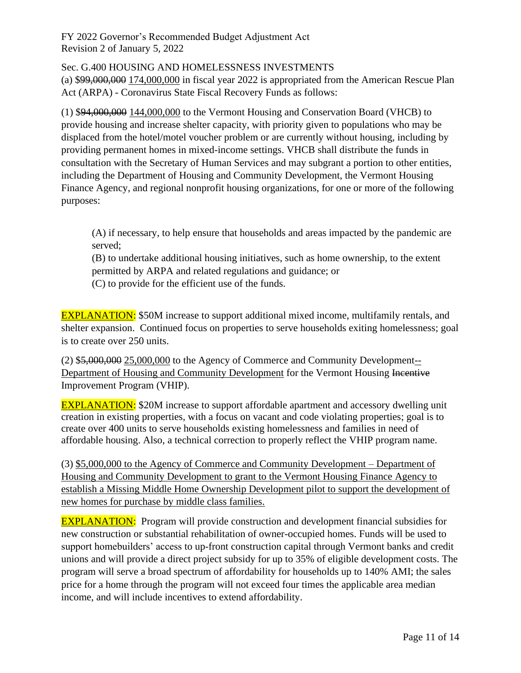## Sec. G.400 HOUSING AND HOMELESSNESS INVESTMENTS

(a) \$99,000,000 174,000,000 in fiscal year 2022 is appropriated from the American Rescue Plan Act (ARPA) - Coronavirus State Fiscal Recovery Funds as follows:

(1) \$94,000,000 144,000,000 to the Vermont Housing and Conservation Board (VHCB) to provide housing and increase shelter capacity, with priority given to populations who may be displaced from the hotel/motel voucher problem or are currently without housing, including by providing permanent homes in mixed-income settings. VHCB shall distribute the funds in consultation with the Secretary of Human Services and may subgrant a portion to other entities, including the Department of Housing and Community Development, the Vermont Housing Finance Agency, and regional nonprofit housing organizations, for one or more of the following purposes:

(A) if necessary, to help ensure that households and areas impacted by the pandemic are served;

(B) to undertake additional housing initiatives, such as home ownership, to the extent permitted by ARPA and related regulations and guidance; or (C) to provide for the efficient use of the funds.

EXPLANATION: \$50M increase to support additional mixed income, multifamily rentals, and shelter expansion. Continued focus on properties to serve households exiting homelessness; goal is to create over 250 units.

(2) \$5,000,000 25,000,000 to the Agency of Commerce and Community Development-- Department of Housing and Community Development for the Vermont Housing Incentive Improvement Program (VHIP).

**EXPLANATION:** \$20M increase to support affordable apartment and accessory dwelling unit creation in existing properties, with a focus on vacant and code violating properties; goal is to create over 400 units to serve households existing homelessness and families in need of affordable housing. Also, a technical correction to properly reflect the VHIP program name.

(3) \$5,000,000 to the Agency of Commerce and Community Development – Department of Housing and Community Development to grant to the Vermont Housing Finance Agency to establish a Missing Middle Home Ownership Development pilot to support the development of new homes for purchase by middle class families.

EXPLANATION: Program will provide construction and development financial subsidies for new construction or substantial rehabilitation of owner-occupied homes. Funds will be used to support homebuilders' access to up-front construction capital through Vermont banks and credit unions and will provide a direct project subsidy for up to 35% of eligible development costs. The program will serve a broad spectrum of affordability for households up to 140% AMI; the sales price for a home through the program will not exceed four times the applicable area median income, and will include incentives to extend affordability.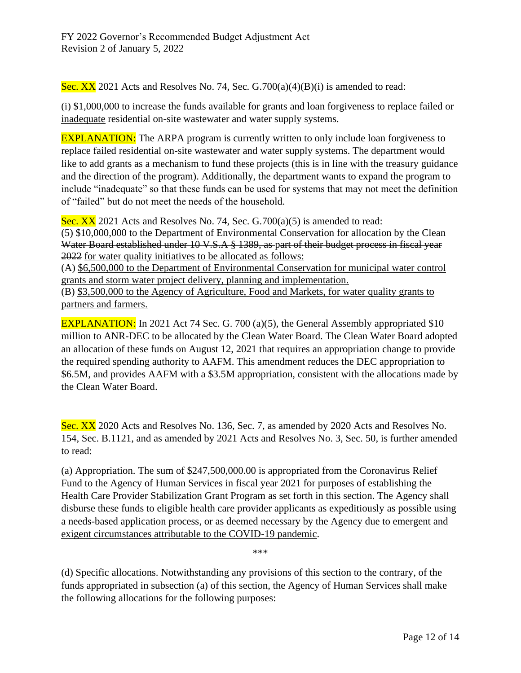Sec. XX 2021 Acts and Resolves No. 74, Sec.  $G.700(a)(4)(B)(i)$  is amended to read:

(i)  $$1,000,000$  to increase the funds available for grants and loan forgiveness to replace failed or inadequate residential on-site wastewater and water supply systems.

EXPLANATION: The ARPA program is currently written to only include loan forgiveness to replace failed residential on-site wastewater and water supply systems. The department would like to add grants as a mechanism to fund these projects (this is in line with the treasury guidance and the direction of the program). Additionally, the department wants to expand the program to include "inadequate" so that these funds can be used for systems that may not meet the definition of "failed" but do not meet the needs of the household.

Sec.  $XX$  2021 Acts and Resolves No. 74, Sec. G.700(a)(5) is amended to read: (5) \$10,000,000 to the Department of Environmental Conservation for allocation by the Clean Water Board established under 10 V.S.A § 1389, as part of their budget process in fiscal year 2022 for water quality initiatives to be allocated as follows:

(A) \$6,500,000 to the Department of Environmental Conservation for municipal water control grants and storm water project delivery, planning and implementation.

(B) \$3,500,000 to the Agency of Agriculture, Food and Markets, for water quality grants to partners and farmers.

EXPLANATION: In 2021 Act 74 Sec. G. 700 (a)(5), the General Assembly appropriated \$10 million to ANR-DEC to be allocated by the Clean Water Board. The Clean Water Board adopted an allocation of these funds on August 12, 2021 that requires an appropriation change to provide the required spending authority to AAFM. This amendment reduces the DEC appropriation to \$6.5M, and provides AAFM with a \$3.5M appropriation, consistent with the allocations made by the Clean Water Board.

Sec. XX 2020 Acts and Resolves No. 136, Sec. 7, as amended by 2020 Acts and Resolves No. 154, Sec. B.1121, and as amended by 2021 Acts and Resolves No. 3, Sec. 50, is further amended to read:

(a) Appropriation. The sum of \$247,500,000.00 is appropriated from the Coronavirus Relief Fund to the Agency of Human Services in fiscal year 2021 for purposes of establishing the Health Care Provider Stabilization Grant Program as set forth in this section. The Agency shall disburse these funds to eligible health care provider applicants as expeditiously as possible using a needs-based application process, or as deemed necessary by the Agency due to emergent and exigent circumstances attributable to the COVID-19 pandemic.

\*\*\*

(d) Specific allocations. Notwithstanding any provisions of this section to the contrary, of the funds appropriated in subsection (a) of this section, the Agency of Human Services shall make the following allocations for the following purposes: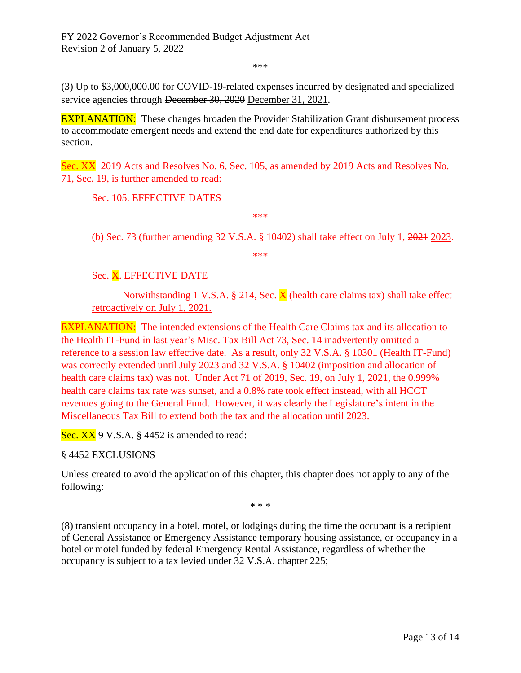\*\*\*

(3) Up to \$3,000,000.00 for COVID-19-related expenses incurred by designated and specialized service agencies through <del>December 30, 2020</del> December 31, 2021.

**EXPLANATION:** These changes broaden the Provider Stabilization Grant disbursement process to accommodate emergent needs and extend the end date for expenditures authorized by this section.

Sec. XX 2019 Acts and Resolves No. 6, Sec. 105, as amended by 2019 Acts and Resolves No. 71, Sec. 19, is further amended to read:

Sec. 105. EFFECTIVE DATES

(b) Sec. 73 (further amending 32 V.S.A. § 10402) shall take effect on July 1, 2021 2023.

\*\*\*

\*\*\*

## Sec. X. EFFECTIVE DATE

Notwithstanding 1 V.S.A. § 214, Sec.  $\bar{X}$  (health care claims tax) shall take effect retroactively on July 1, 2021.

EXPLANATION: The intended extensions of the Health Care Claims tax and its allocation to the Health IT-Fund in last year's Misc. Tax Bill Act 73, Sec. 14 inadvertently omitted a reference to a session law effective date. As a result, only 32 V.S.A. § 10301 (Health IT-Fund) was correctly extended until July 2023 and 32 V.S.A. § 10402 (imposition and allocation of health care claims tax) was not. Under Act 71 of 2019, Sec. 19, on July 1, 2021, the 0.999% health care claims tax rate was sunset, and a 0.8% rate took effect instead, with all HCCT revenues going to the General Fund. However, it was clearly the Legislature's intent in the Miscellaneous Tax Bill to extend both the tax and the allocation until 2023.

Sec. XX 9 V.S.A. § 4452 is amended to read:

#### § 4452 EXCLUSIONS

Unless created to avoid the application of this chapter, this chapter does not apply to any of the following:

\* \* \*

(8) transient occupancy in a hotel, motel, or lodgings during the time the occupant is a recipient of General Assistance or Emergency Assistance temporary housing assistance, or occupancy in a hotel or motel funded by federal Emergency Rental Assistance, regardless of whether the occupancy is subject to a tax levied under 32 V.S.A. chapter 225;